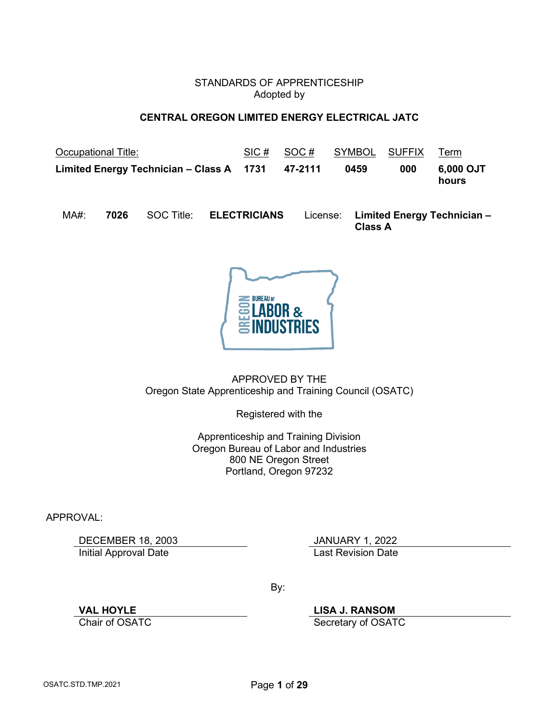### STANDARDS OF APPRENTICESHIP Adopted by

# **CENTRAL OREGON LIMITED ENERGY ELECTRICAL JATC**

<span id="page-0-0"></span>

| <b>Occupational Title:</b>                       | SIC# | SOC# | SYMBOL SUFFIX Term |     |                    |
|--------------------------------------------------|------|------|--------------------|-----|--------------------|
| Limited Energy Technician – Class A 1731 47-2111 |      |      | 0459               | 000 | 6,000 OJT<br>hours |

MA#: **7026** SOC Title: **ELECTRICIANS** License: **Limited Energy Technician – Class A**



APPROVED BY THE Oregon State Apprenticeship and Training Council (OSATC)

Registered with the

Apprenticeship and Training Division Oregon Bureau of Labor and Industries 800 NE Oregon Street Portland, Oregon 97232

APPROVAL:

DECEMBER 18, 2003<br>
Initial Approval Date<br>
Initial Approval Date **Initial Approval Date** 

By:

**VAL HOYLE LISA J. RANSOM**

Secretary of OSATC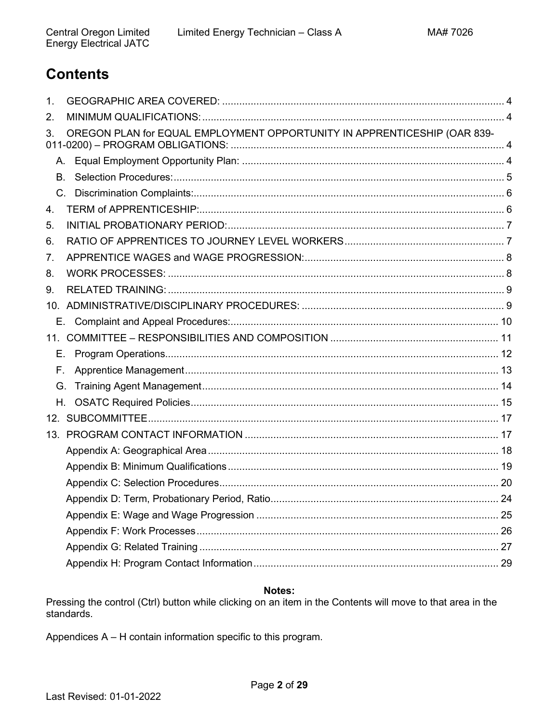# <span id="page-1-0"></span>**Contents**

| 1.  |                                                                          |  |
|-----|--------------------------------------------------------------------------|--|
| 2.  |                                                                          |  |
| 3.  | OREGON PLAN for EQUAL EMPLOYMENT OPPORTUNITY IN APPRENTICESHIP (OAR 839- |  |
|     |                                                                          |  |
| В.  |                                                                          |  |
|     |                                                                          |  |
| 4.  |                                                                          |  |
| 5.  |                                                                          |  |
| 6.  |                                                                          |  |
| 7.  |                                                                          |  |
| 8.  |                                                                          |  |
| 9.  |                                                                          |  |
|     |                                                                          |  |
|     |                                                                          |  |
| 11. |                                                                          |  |
| Е.  |                                                                          |  |
| Е.  |                                                                          |  |
| G.  |                                                                          |  |
| H.  |                                                                          |  |
|     |                                                                          |  |
|     |                                                                          |  |
|     |                                                                          |  |
|     |                                                                          |  |
|     |                                                                          |  |
|     |                                                                          |  |
|     |                                                                          |  |
|     |                                                                          |  |
|     |                                                                          |  |
|     |                                                                          |  |

# Notes:

Pressing the control (Ctrl) button while clicking on an item in the Contents will move to that area in the standards.

Appendices A - H contain information specific to this program.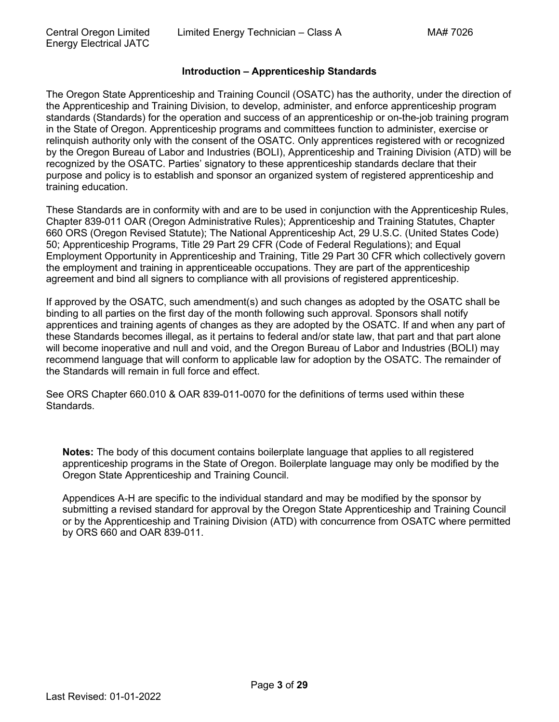### **Introduction – Apprenticeship Standards**

The Oregon State Apprenticeship and Training Council (OSATC) has the authority, under the direction of the Apprenticeship and Training Division, to develop, administer, and enforce apprenticeship program standards (Standards) for the operation and success of an apprenticeship or on-the-job training program in the State of Oregon. Apprenticeship programs and committees function to administer, exercise or relinquish authority only with the consent of the OSATC. Only apprentices registered with or recognized by the Oregon Bureau of Labor and Industries (BOLI), Apprenticeship and Training Division (ATD) will be recognized by the OSATC. Parties' signatory to these apprenticeship standards declare that their purpose and policy is to establish and sponsor an organized system of registered apprenticeship and training education.

These Standards are in conformity with and are to be used in conjunction with the Apprenticeship Rules, Chapter 839-011 OAR (Oregon Administrative Rules); Apprenticeship and Training Statutes, Chapter 660 ORS (Oregon Revised Statute); The National Apprenticeship Act, 29 U.S.C. (United States Code) 50; Apprenticeship Programs, Title 29 Part 29 CFR (Code of Federal Regulations); and Equal Employment Opportunity in Apprenticeship and Training, Title 29 Part 30 CFR which collectively govern the employment and training in apprenticeable occupations. They are part of the apprenticeship agreement and bind all signers to compliance with all provisions of registered apprenticeship.

If approved by the OSATC, such amendment(s) and such changes as adopted by the OSATC shall be binding to all parties on the first day of the month following such approval. Sponsors shall notify apprentices and training agents of changes as they are adopted by the OSATC. If and when any part of these Standards becomes illegal, as it pertains to federal and/or state law, that part and that part alone will become inoperative and null and void, and the Oregon Bureau of Labor and Industries (BOLI) may recommend language that will conform to applicable law for adoption by the OSATC. The remainder of the Standards will remain in full force and effect.

See ORS Chapter 660.010 & OAR 839-011-0070 for the definitions of terms used within these Standards.

**Notes:** The body of this document contains boilerplate language that applies to all registered apprenticeship programs in the State of Oregon. Boilerplate language may only be modified by the Oregon State Apprenticeship and Training Council.

Appendices A-H are specific to the individual standard and may be modified by the sponsor by submitting a revised standard for approval by the Oregon State Apprenticeship and Training Council or by the Apprenticeship and Training Division (ATD) with concurrence from OSATC where permitted by ORS 660 and OAR 839-011.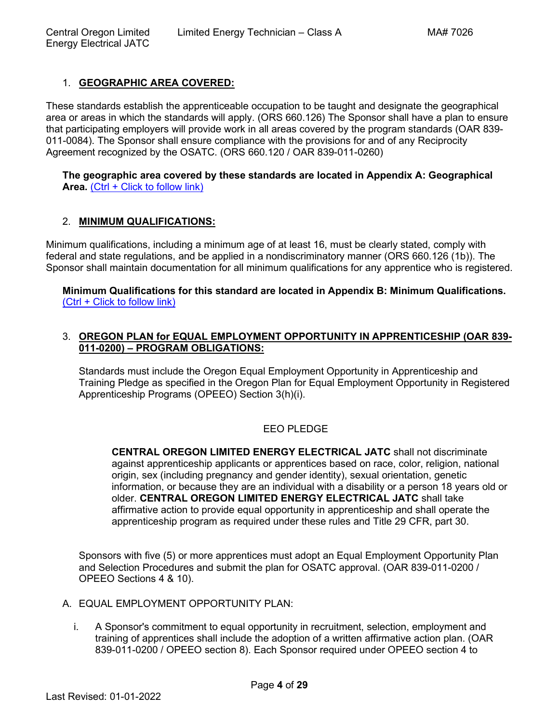# <span id="page-3-0"></span>1. **[GEOGRAPHIC AREA COVERED:](#page-1-0)**

These standards establish the apprenticeable occupation to be taught and designate the geographical area or areas in which the standards will apply. (ORS 660.126) The Sponsor shall have a plan to ensure that participating employers will provide work in all areas covered by the program standards (OAR 839- 011-0084). The Sponsor shall ensure compliance with the provisions for and of any Reciprocity Agreement recognized by the OSATC. (ORS 660.120 / OAR 839-011-0260)

#### **[The geographic area covered by these standards are](#page-17-0) located in Appendix A: Geographical**  [Area.](#page-17-0) [\(Ctrl + Click to follow link\)](#page-17-0)

# <span id="page-3-1"></span>2. **[MINIMUM QUALIFICATIONS:](#page-1-0)**

Minimum qualifications, including a minimum age of at least 16, must be clearly stated, comply with federal and state regulations, and be applied in a nondiscriminatory manner (ORS 660.126 (1b)). The Sponsor shall maintain documentation for all minimum qualifications for any apprentice who is registered.

**[Minimum Qualifications for this standard are located in Appendix B: Minimum Qualifications.](#page-18-0)** [\(Ctrl + Click to follow link\)](#page-18-0)

### <span id="page-3-2"></span>3. **[OREGON PLAN for EQUAL EMPLOYMENT OPPORTUNITY IN APPRENTICESHIP \(OAR 839-](#page-1-0) 011-0200) – [PROGRAM OBLIGATIONS:](#page-1-0)**

Standards must include the Oregon Equal Employment Opportunity in Apprenticeship and Training Pledge as specified in the Oregon Plan for Equal Employment Opportunity in Registered Apprenticeship Programs (OPEEO) Section 3(h)(i).

# EEO PLEDGE

**CENTRAL OREGON LIMITED ENERGY ELECTRICAL JATC** shall not discriminate against apprenticeship applicants or apprentices based on race, color, religion, national origin, sex (including pregnancy and gender identity), sexual orientation, genetic information, or because they are an individual with a disability or a person 18 years old or older. **CENTRAL OREGON LIMITED ENERGY ELECTRICAL JATC** shall take affirmative action to provide equal opportunity in apprenticeship and shall operate the apprenticeship program as required under these rules and Title 29 CFR, part 30.

Sponsors with five (5) or more apprentices must adopt an Equal Employment Opportunity Plan and Selection Procedures and submit the plan for OSATC approval. (OAR 839-011-0200 / OPEEO Sections 4 & 10).

- <span id="page-3-3"></span>A. EQUAL EMPLOYMENT OPPORTUNITY PLAN:
	- i. A Sponsor's commitment to equal opportunity in recruitment, selection, employment and training of apprentices shall include the adoption of a written affirmative action plan. (OAR 839-011-0200 / OPEEO section 8). Each Sponsor required under OPEEO section 4 to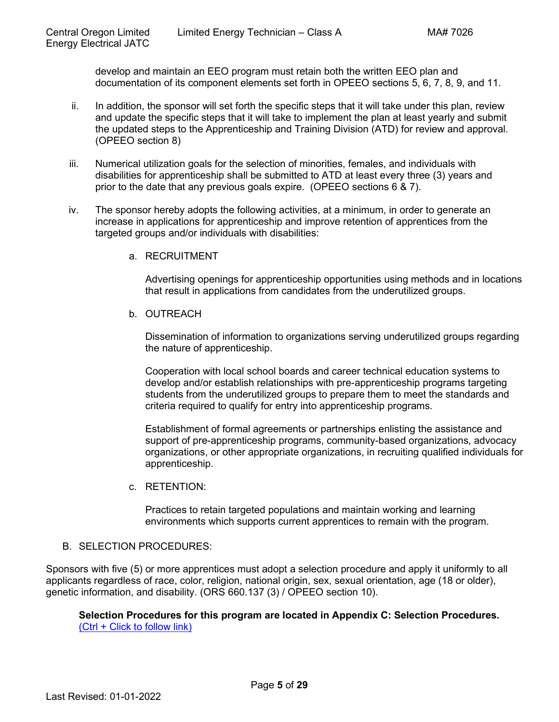develop and maintain an EEO program must retain both the written EEO plan and documentation of its component elements set forth in OPEEO sections 5, 6, 7, 8, 9, and 11.

- ii. In addition, the sponsor will set forth the specific steps that it will take under this plan, review and update the specific steps that it will take to implement the plan at least yearly and submit the updated steps to the Apprenticeship and Training Division (ATD) for review and approval. (OPEEO section 8)
- iii. Numerical utilization goals for the selection of minorities, females, and individuals with disabilities for apprenticeship shall be submitted to ATD at least every three (3) years and prior to the date that any previous goals expire. (OPEEO sections 6 & 7).
- iv. The sponsor hereby adopts the following activities, at a minimum, in order to generate an increase in applications for apprenticeship and improve retention of apprentices from the targeted groups and/or individuals with disabilities:
	- a. RECRUITMENT

Advertising openings for apprenticeship opportunities using methods and in locations that result in applications from candidates from the underutilized groups.

b. OUTREACH

Dissemination of information to organizations serving underutilized groups regarding the nature of apprenticeship.

Cooperation with local school boards and career technical education systems to develop and/or establish relationships with pre-apprenticeship programs targeting students from the underutilized groups to prepare them to meet the standards and criteria required to qualify for entry into apprenticeship programs.

Establishment of formal agreements or partnerships enlisting the assistance and support of pre-apprenticeship programs, community-based organizations, advocacy organizations, or other appropriate organizations, in recruiting qualified individuals for apprenticeship.

c. RETENTION:

Practices to retain targeted populations and maintain working and learning environments which supports current apprentices to remain with the program.

# <span id="page-4-0"></span>B. SELECTION PROCEDURES:

Sponsors with five (5) or more apprentices must adopt a selection procedure and apply it uniformly to all applicants regardless of race, color, religion, national origin, sex, sexual orientation, age (18 or older), genetic information, and disability. (ORS 660.137 (3) / OPEEO section 10).

**[Selection Procedures for this program are located in Appendix C: Selection Procedures.](#page-19-0)** [\(Ctrl + Click to follow link\)](#page-19-0)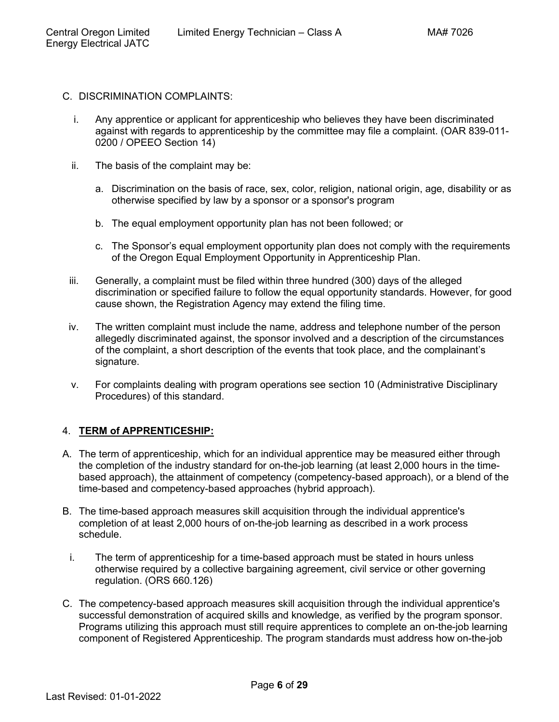- <span id="page-5-0"></span>C. DISCRIMINATION COMPLAINTS:
	- i. Any apprentice or applicant for apprenticeship who believes they have been discriminated against with regards to apprenticeship by the committee may file a complaint. (OAR 839-011- 0200 / OPEEO Section 14)
	- ii. The basis of the complaint may be:
		- a. Discrimination on the basis of race, sex, color, religion, national origin, age, disability or as otherwise specified by law by a sponsor or a sponsor's program
		- b. The equal employment opportunity plan has not been followed; or
		- c. The Sponsor's equal employment opportunity plan does not comply with the requirements of the Oregon Equal Employment Opportunity in Apprenticeship Plan.
	- iii. Generally, a complaint must be filed within three hundred (300) days of the alleged discrimination or specified failure to follow the equal opportunity standards. However, for good cause shown, the Registration Agency may extend the filing time.
	- iv. The written complaint must include the name, address and telephone number of the person allegedly discriminated against, the sponsor involved and a description of the circumstances of the complaint, a short description of the events that took place, and the complainant's signature.
	- v. For complaints dealing with program operations see section 10 (Administrative Disciplinary Procedures) of this standard.

# <span id="page-5-1"></span>4. **[TERM of APPRENTICESHIP:](#page-1-0)**

- A. The term of apprenticeship, which for an individual apprentice may be measured either through the completion of the industry standard for on-the-job learning (at least 2,000 hours in the timebased approach), the attainment of competency (competency-based approach), or a blend of the time-based and competency-based approaches (hybrid approach).
- B. The time-based approach measures skill acquisition through the individual apprentice's completion of at least 2,000 hours of on-the-job learning as described in a work process schedule.
	- i. The term of apprenticeship for a time-based approach must be stated in hours unless otherwise required by a collective bargaining agreement, civil service or other governing regulation. (ORS 660.126)
- C. The competency-based approach measures skill acquisition through the individual apprentice's successful demonstration of acquired skills and knowledge, as verified by the program sponsor. Programs utilizing this approach must still require apprentices to complete an on-the-job learning component of Registered Apprenticeship. The program standards must address how on-the-job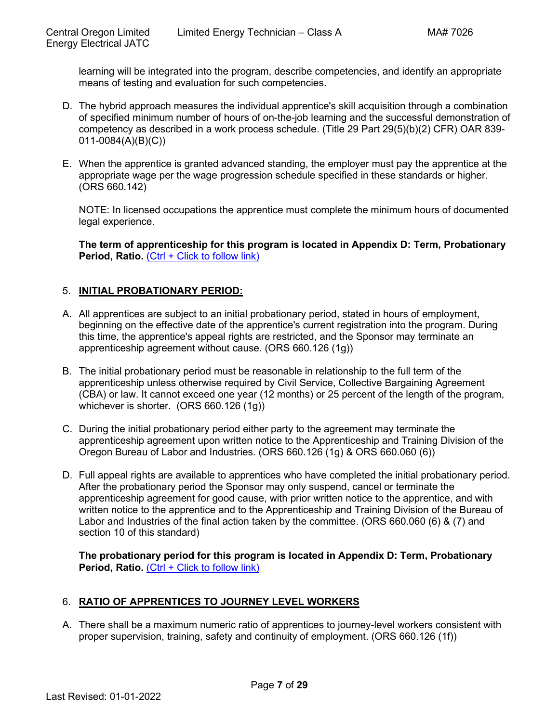learning will be integrated into the program, describe competencies, and identify an appropriate means of testing and evaluation for such competencies.

- D. The hybrid approach measures the individual apprentice's skill acquisition through a combination of specified minimum number of hours of on-the-job learning and the successful demonstration of competency as described in a work process schedule. (Title 29 Part 29(5)(b)(2) CFR) OAR 839- 011-0084(A)(B)(C))
- E. When the apprentice is granted advanced standing, the employer must pay the apprentice at the appropriate wage per the wage progression schedule specified in these standards or higher. (ORS 660.142)

NOTE: In licensed occupations the apprentice must complete the minimum hours of documented legal experience.

**[The term of apprenticeship for this program is located in Appendix D: Term, Probationary](#page-23-0)  [Period, Ratio.](#page-23-0)** [\(Ctrl + Click to follow link\)](#page-23-0)

# <span id="page-6-0"></span>5. **[INITIAL PROBATIONARY PERIOD:](#page-1-0)**

- A. All apprentices are subject to an initial probationary period, stated in hours of employment, beginning on the effective date of the apprentice's current registration into the program. During this time, the apprentice's appeal rights are restricted, and the Sponsor may terminate an apprenticeship agreement without cause. (ORS 660.126 (1g))
- B. The initial probationary period must be reasonable in relationship to the full term of the apprenticeship unless otherwise required by Civil Service, Collective Bargaining Agreement (CBA) or law. It cannot exceed one year (12 months) or 25 percent of the length of the program, whichever is shorter. (ORS 660.126 (1g))
- C. During the initial probationary period either party to the agreement may terminate the apprenticeship agreement upon written notice to the Apprenticeship and Training Division of the Oregon Bureau of Labor and Industries. (ORS 660.126 (1g) & ORS 660.060 (6))
- D. Full appeal rights are available to apprentices who have completed the initial probationary period. After the probationary period the Sponsor may only suspend, cancel or terminate the apprenticeship agreement for good cause, with prior written notice to the apprentice, and with written notice to the apprentice and to the Apprenticeship and Training Division of the Bureau of Labor and Industries of the final action taken by the committee. (ORS 660.060 (6) & (7) and section 10 of this standard)

**[The probationary period for this program is located in Appendix D: Term, Probationary](#page-23-0)  [Period, Ratio.](#page-23-0)** [\(Ctrl + Click to follow link\)](#page-23-0)

# <span id="page-6-1"></span>6. **[RATIO OF APPRENTICES TO JOURNEY LEVEL WORKERS](#page-1-0)**

A. There shall be a maximum numeric ratio of apprentices to journey-level workers consistent with proper supervision, training, safety and continuity of employment. (ORS 660.126 (1f))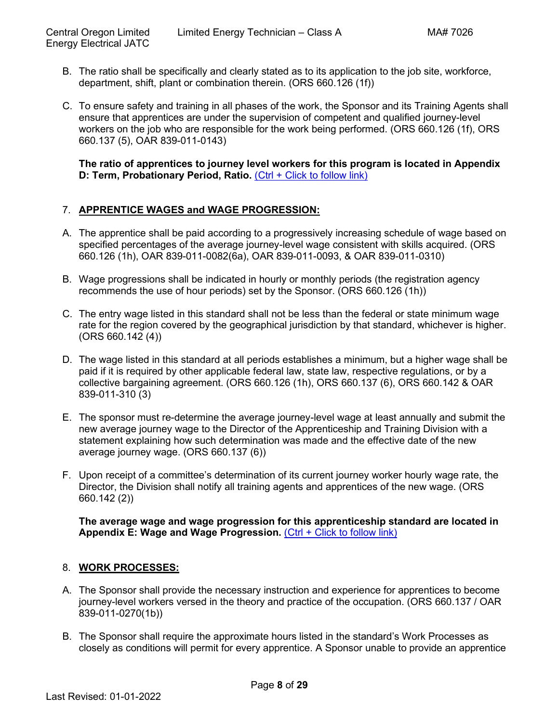- B. The ratio shall be specifically and clearly stated as to its application to the job site, workforce, department, shift, plant or combination therein. (ORS 660.126 (1f))
- C. To ensure safety and training in all phases of the work, the Sponsor and its Training Agents shall ensure that apprentices are under the supervision of competent and qualified journey-level workers on the job who are responsible for the work being performed. (ORS 660.126 (1f), ORS 660.137 (5), OAR 839-011-0143)

**[The ratio of apprentices to journey level workers for this program is located in Appendix](#page-23-0)  [D: Term, Probationary Period, Ratio.](#page-23-0) [\(Ctrl + Click to follow link\)](#page-23-0)** 

# <span id="page-7-0"></span>7. **[APPRENTICE WAGES and WAGE PROGRESSION:](#page-1-0)**

- A. The apprentice shall be paid according to a progressively increasing schedule of wage based on specified percentages of the average journey-level wage consistent with skills acquired. (ORS 660.126 (1h), OAR 839-011-0082(6a), OAR 839-011-0093, & OAR 839-011-0310)
- B. Wage progressions shall be indicated in hourly or monthly periods (the registration agency recommends the use of hour periods) set by the Sponsor. (ORS 660.126 (1h))
- C. The entry wage listed in this standard shall not be less than the federal or state minimum wage rate for the region covered by the geographical jurisdiction by that standard, whichever is higher.  $(ORS 660.142 (4))$
- D. The wage listed in this standard at all periods establishes a minimum, but a higher wage shall be paid if it is required by other applicable federal law, state law, respective regulations, or by a collective bargaining agreement. (ORS 660.126 (1h), ORS 660.137 (6), ORS 660.142 & OAR 839-011-310 (3)
- E. The sponsor must re-determine the average journey-level wage at least annually and submit the new average journey wage to the Director of the Apprenticeship and Training Division with a statement explaining how such determination was made and the effective date of the new average journey wage. (ORS 660.137 (6))
- F. Upon receipt of a committee's determination of its current journey worker hourly wage rate, the Director, the Division shall notify all training agents and apprentices of the new wage. (ORS 660.142 (2))

**[The average wage and wage progression for this apprenticeship standard are located in](#page-24-0)**  [Appendix E: Wage and Wage Progression.](#page-24-0) [\(Ctrl + Click to follow link\)](#page-24-0)

# <span id="page-7-1"></span>8. **[WORK PROCESSES:](#page-1-0)**

- A. The Sponsor shall provide the necessary instruction and experience for apprentices to become journey-level workers versed in the theory and practice of the occupation. (ORS 660.137 / OAR 839-011-0270(1b))
- B. The Sponsor shall require the approximate hours listed in the standard's Work Processes as closely as conditions will permit for every apprentice. A Sponsor unable to provide an apprentice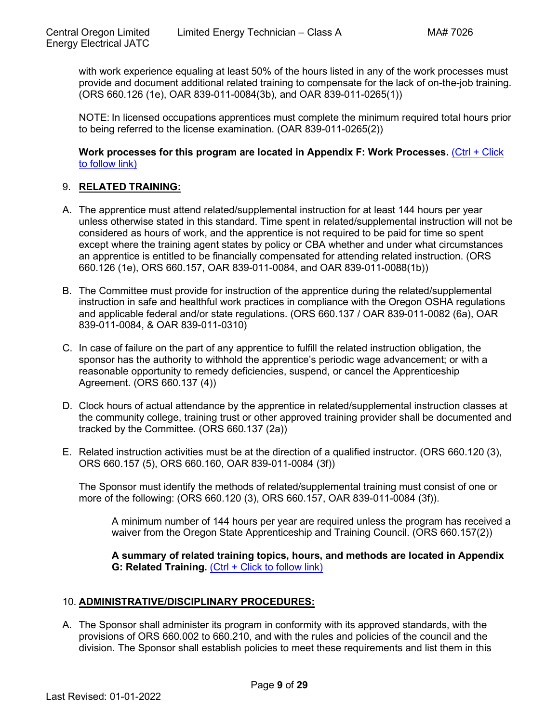with work experience equaling at least 50% of the hours listed in any of the work processes must provide and document additional related training to compensate for the lack of on-the-job training. (ORS 660.126 (1e), OAR 839-011-0084(3b), and OAR 839-011-0265(1))

NOTE: In licensed occupations apprentices must complete the minimum required total hours prior to being referred to the license examination. (OAR 839-011-0265(2))

**[Work processes for this program are located in Appendix F: Work Processes.](#page-25-0)** [\(Ctrl + Click](#page-25-0)  [to follow link\)](#page-25-0)

# <span id="page-8-0"></span>9. **RELATED [TRAINING:](#page-1-0)**

- A. The apprentice must attend related/supplemental instruction for at least 144 hours per year unless otherwise stated in this standard. Time spent in related/supplemental instruction will not be considered as hours of work, and the apprentice is not required to be paid for time so spent except where the training agent states by policy or CBA whether and under what circumstances an apprentice is entitled to be financially compensated for attending related instruction. (ORS 660.126 (1e), ORS 660.157, OAR 839-011-0084, and OAR 839-011-0088(1b))
- B. The Committee must provide for instruction of the apprentice during the related/supplemental instruction in safe and healthful work practices in compliance with the Oregon OSHA regulations and applicable federal and/or state regulations. (ORS 660.137 / OAR 839-011-0082 (6a), OAR 839-011-0084, & OAR 839-011-0310)
- C. In case of failure on the part of any apprentice to fulfill the related instruction obligation, the sponsor has the authority to withhold the apprentice's periodic wage advancement; or with a reasonable opportunity to remedy deficiencies, suspend, or cancel the Apprenticeship Agreement. (ORS 660.137 (4))
- D. Clock hours of actual attendance by the apprentice in related/supplemental instruction classes at the community college, training trust or other approved training provider shall be documented and tracked by the Committee. (ORS 660.137 (2a))
- E. Related instruction activities must be at the direction of a qualified instructor. (ORS 660.120 (3), ORS 660.157 (5), ORS 660.160, OAR 839-011-0084 (3f))

The Sponsor must identify the methods of related/supplemental training must consist of one or more of the following: (ORS 660.120 (3), ORS 660.157, OAR 839-011-0084 (3f)).

A minimum number of 144 hours per year are required unless the program has received a waiver from the Oregon State Apprenticeship and Training Council. (ORS 660.157(2))

**[A summary of related training topics,](#page-26-0) hours, and methods are located in Appendix [G: Related Training.](#page-26-0)** [\(Ctrl + Click to follow link\)](#page-26-0)

#### <span id="page-8-1"></span>10. **[ADMINISTRATIVE/DISCIPLINARY PROCEDURES:](#page-1-0)**

A. The Sponsor shall administer its program in conformity with its approved standards, with the provisions of ORS 660.002 to 660.210, and with the rules and policies of the council and the division. The Sponsor shall establish policies to meet these requirements and list them in this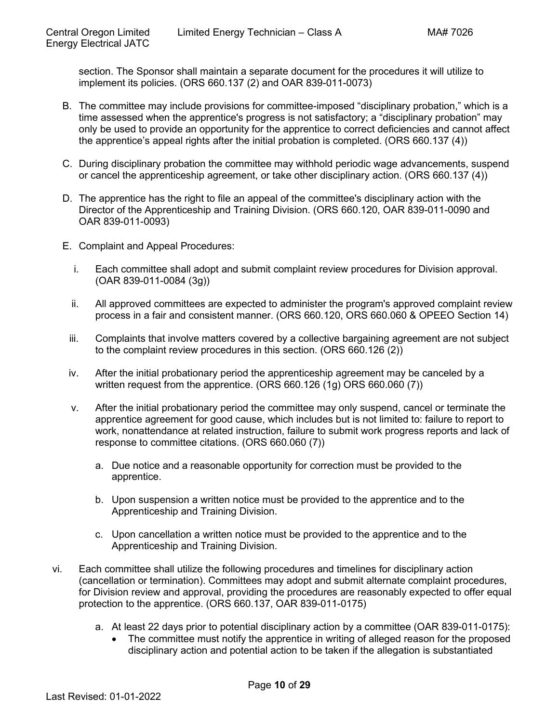section. The Sponsor shall maintain a separate document for the procedures it will utilize to implement its policies. (ORS 660.137 (2) and OAR 839-011-0073)

- B. The committee may include provisions for committee-imposed "disciplinary probation," which is a time assessed when the apprentice's progress is not satisfactory; a "disciplinary probation" may only be used to provide an opportunity for the apprentice to correct deficiencies and cannot affect the apprentice's appeal rights after the initial probation is completed. (ORS 660.137 (4))
- C. During disciplinary probation the committee may withhold periodic wage advancements, suspend or cancel the apprenticeship agreement, or take other disciplinary action. (ORS 660.137 (4))
- D. The apprentice has the right to file an appeal of the committee's disciplinary action with the Director of the Apprenticeship and Training Division. (ORS 660.120, OAR 839-011-0090 and OAR 839-011-0093)
- <span id="page-9-0"></span>E. Complaint and Appeal Procedures:
	- i. Each committee shall adopt and submit complaint review procedures for Division approval. (OAR 839-011-0084 (3g))
	- ii. All approved committees are expected to administer the program's approved complaint review process in a fair and consistent manner. (ORS 660.120, ORS 660.060 & OPEEO Section 14)
	- iii. Complaints that involve matters covered by a collective bargaining agreement are not subject to the complaint review procedures in this section. (ORS 660.126 (2))
	- iv. After the initial probationary period the apprenticeship agreement may be canceled by a written request from the apprentice. (ORS 660.126 (1g) ORS 660.060 (7))
	- v. After the initial probationary period the committee may only suspend, cancel or terminate the apprentice agreement for good cause, which includes but is not limited to: failure to report to work, nonattendance at related instruction, failure to submit work progress reports and lack of response to committee citations. (ORS 660.060 (7))
		- a. Due notice and a reasonable opportunity for correction must be provided to the apprentice.
		- b. Upon suspension a written notice must be provided to the apprentice and to the Apprenticeship and Training Division.
		- c. Upon cancellation a written notice must be provided to the apprentice and to the Apprenticeship and Training Division.
- vi. Each committee shall utilize the following procedures and timelines for disciplinary action (cancellation or termination). Committees may adopt and submit alternate complaint procedures, for Division review and approval, providing the procedures are reasonably expected to offer equal protection to the apprentice. (ORS 660.137, OAR 839-011-0175)
	- a. At least 22 days prior to potential disciplinary action by a committee (OAR 839-011-0175):
		- The committee must notify the apprentice in writing of alleged reason for the proposed disciplinary action and potential action to be taken if the allegation is substantiated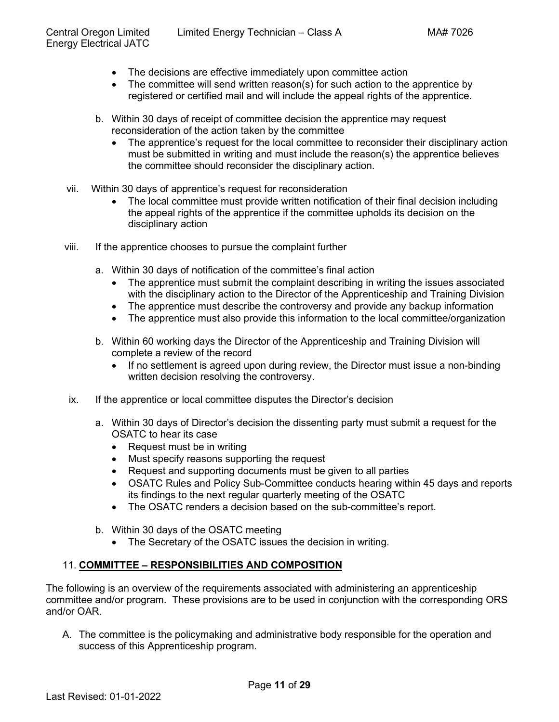- The decisions are effective immediately upon committee action
- The committee will send written reason(s) for such action to the apprentice by registered or certified mail and will include the appeal rights of the apprentice.
- b. Within 30 days of receipt of committee decision the apprentice may request reconsideration of the action taken by the committee
	- The apprentice's request for the local committee to reconsider their disciplinary action must be submitted in writing and must include the reason(s) the apprentice believes the committee should reconsider the disciplinary action.
- vii. Within 30 days of apprentice's request for reconsideration
	- The local committee must provide written notification of their final decision including the appeal rights of the apprentice if the committee upholds its decision on the disciplinary action
- viii. If the apprentice chooses to pursue the complaint further
	- a. Within 30 days of notification of the committee's final action
		- The apprentice must submit the complaint describing in writing the issues associated with the disciplinary action to the Director of the Apprenticeship and Training Division
		- The apprentice must describe the controversy and provide any backup information
		- The apprentice must also provide this information to the local committee/organization
	- b. Within 60 working days the Director of the Apprenticeship and Training Division will complete a review of the record
		- If no settlement is agreed upon during review, the Director must issue a non-binding written decision resolving the controversy.
- ix. If the apprentice or local committee disputes the Director's decision
	- a. Within 30 days of Director's decision the dissenting party must submit a request for the OSATC to hear its case
		- Request must be in writing
		- Must specify reasons supporting the request
		- Request and supporting documents must be given to all parties
		- OSATC Rules and Policy Sub-Committee conducts hearing within 45 days and reports its findings to the next regular quarterly meeting of the OSATC
		- The OSATC renders a decision based on the sub-committee's report.
	- b. Within 30 days of the OSATC meeting
		- The Secretary of the OSATC issues the decision in writing.

# <span id="page-10-0"></span>11. **COMMITTEE – [RESPONSIBILITIES AND COMPOSITION](#page-1-0)**

The following is an overview of the requirements associated with administering an apprenticeship committee and/or program. These provisions are to be used in conjunction with the corresponding ORS and/or OAR.

A. The committee is the policymaking and administrative body responsible for the operation and success of this Apprenticeship program.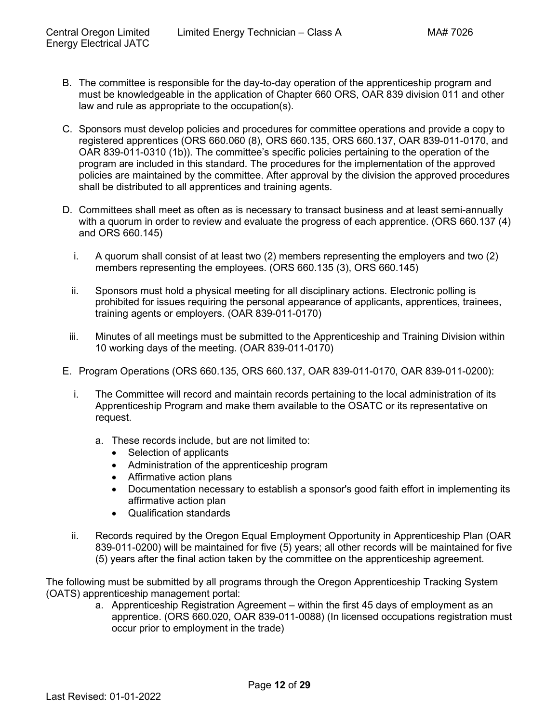- B. The committee is responsible for the day-to-day operation of the apprenticeship program and must be knowledgeable in the application of Chapter 660 ORS, OAR 839 division 011 and other law and rule as appropriate to the occupation(s).
- C. Sponsors must develop policies and procedures for committee operations and provide a copy to registered apprentices (ORS 660.060 (8), ORS 660.135, ORS 660.137, OAR 839-011-0170, and OAR 839-011-0310 (1b)). The committee's specific policies pertaining to the operation of the program are included in this standard. The procedures for the implementation of the approved policies are maintained by the committee. After approval by the division the approved procedures shall be distributed to all apprentices and training agents.
- D. Committees shall meet as often as is necessary to transact business and at least semi-annually with a quorum in order to review and evaluate the progress of each apprentice. (ORS 660.137 (4) and ORS 660.145)
	- i. A quorum shall consist of at least two (2) members representing the employers and two (2) members representing the employees. (ORS 660.135 (3), ORS 660.145)
	- ii. Sponsors must hold a physical meeting for all disciplinary actions. Electronic polling is prohibited for issues requiring the personal appearance of applicants, apprentices, trainees, training agents or employers. (OAR 839-011-0170)
	- iii. Minutes of all meetings must be submitted to the Apprenticeship and Training Division within 10 working days of the meeting. (OAR 839-011-0170)
- <span id="page-11-0"></span>E. Program Operations (ORS 660.135, ORS 660.137, OAR 839-011-0170, OAR 839-011-0200):
	- i. The Committee will record and maintain records pertaining to the local administration of its Apprenticeship Program and make them available to the OSATC or its representative on request.
		- a. These records include, but are not limited to:
			- Selection of applicants
			- Administration of the apprenticeship program
			- Affirmative action plans
			- Documentation necessary to establish a sponsor's good faith effort in implementing its affirmative action plan
			- Qualification standards
	- ii. Records required by the Oregon Equal Employment Opportunity in Apprenticeship Plan (OAR 839-011-0200) will be maintained for five (5) years; all other records will be maintained for five (5) years after the final action taken by the committee on the apprenticeship agreement.

The following must be submitted by all programs through the Oregon Apprenticeship Tracking System (OATS) apprenticeship management portal:

a. Apprenticeship Registration Agreement – within the first 45 days of employment as an apprentice. (ORS 660.020, OAR 839-011-0088) (In licensed occupations registration must occur prior to employment in the trade)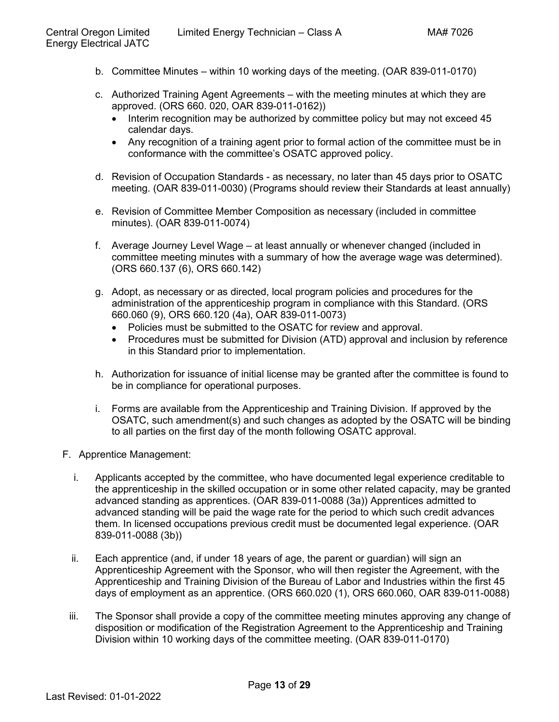- b. Committee Minutes within 10 working days of the meeting. (OAR 839-011-0170)
- c. Authorized Training Agent Agreements with the meeting minutes at which they are approved. (ORS 660. 020, OAR 839-011-0162))
	- Interim recognition may be authorized by committee policy but may not exceed 45 calendar days.
	- Any recognition of a training agent prior to formal action of the committee must be in conformance with the committee's OSATC approved policy.
- d. Revision of Occupation Standards as necessary, no later than 45 days prior to OSATC meeting. (OAR 839-011-0030) (Programs should review their Standards at least annually)
- e. Revision of Committee Member Composition as necessary (included in committee minutes). (OAR 839-011-0074)
- f. Average Journey Level Wage at least annually or whenever changed (included in committee meeting minutes with a summary of how the average wage was determined). (ORS 660.137 (6), ORS 660.142)
- g. Adopt, as necessary or as directed, local program policies and procedures for the administration of the apprenticeship program in compliance with this Standard. (ORS 660.060 (9), ORS 660.120 (4a), OAR 839-011-0073)
	- Policies must be submitted to the OSATC for review and approval.
	- Procedures must be submitted for Division (ATD) approval and inclusion by reference in this Standard prior to implementation.
- h. Authorization for issuance of initial license may be granted after the committee is found to be in compliance for operational purposes.
- i. Forms are available from the Apprenticeship and Training Division. If approved by the OSATC, such amendment(s) and such changes as adopted by the OSATC will be binding to all parties on the first day of the month following OSATC approval.
- <span id="page-12-0"></span>F. Apprentice Management:
	- i. Applicants accepted by the committee, who have documented legal experience creditable to the apprenticeship in the skilled occupation or in some other related capacity, may be granted advanced standing as apprentices. (OAR 839-011-0088 (3a)) Apprentices admitted to advanced standing will be paid the wage rate for the period to which such credit advances them. In licensed occupations previous credit must be documented legal experience. (OAR 839-011-0088 (3b))
	- ii. Each apprentice (and, if under 18 years of age, the parent or guardian) will sign an Apprenticeship Agreement with the Sponsor, who will then register the Agreement, with the Apprenticeship and Training Division of the Bureau of Labor and Industries within the first 45 days of employment as an apprentice. (ORS 660.020 (1), ORS 660.060, OAR 839-011-0088)
	- iii. The Sponsor shall provide a copy of the committee meeting minutes approving any change of disposition or modification of the Registration Agreement to the Apprenticeship and Training Division within 10 working days of the committee meeting. (OAR 839-011-0170)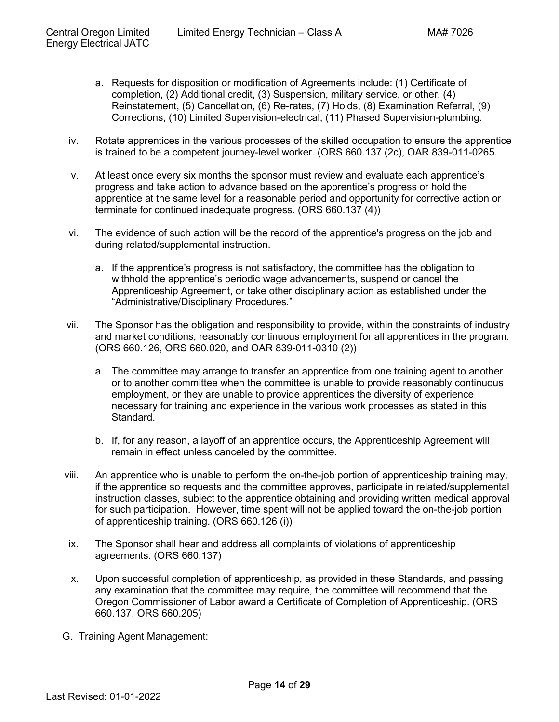- a. Requests for disposition or modification of Agreements include: (1) Certificate of completion, (2) Additional credit, (3) Suspension, military service, or other, (4) Reinstatement, (5) Cancellation, (6) Re-rates, (7) Holds, (8) Examination Referral, (9) Corrections, (10) Limited Supervision-electrical, (11) Phased Supervision-plumbing.
- iv. Rotate apprentices in the various processes of the skilled occupation to ensure the apprentice is trained to be a competent journey-level worker. (ORS 660.137 (2c), OAR 839-011-0265.
- v. At least once every six months the sponsor must review and evaluate each apprentice's progress and take action to advance based on the apprentice's progress or hold the apprentice at the same level for a reasonable period and opportunity for corrective action or terminate for continued inadequate progress. (ORS 660.137 (4))
- vi. The evidence of such action will be the record of the apprentice's progress on the job and during related/supplemental instruction.
	- a. If the apprentice's progress is not satisfactory, the committee has the obligation to withhold the apprentice's periodic wage advancements, suspend or cancel the Apprenticeship Agreement, or take other disciplinary action as established under the "Administrative/Disciplinary Procedures."
- vii. The Sponsor has the obligation and responsibility to provide, within the constraints of industry and market conditions, reasonably continuous employment for all apprentices in the program. (ORS 660.126, ORS 660.020, and OAR 839-011-0310 (2))
	- a. The committee may arrange to transfer an apprentice from one training agent to another or to another committee when the committee is unable to provide reasonably continuous employment, or they are unable to provide apprentices the diversity of experience necessary for training and experience in the various work processes as stated in this Standard.
	- b. If, for any reason, a layoff of an apprentice occurs, the Apprenticeship Agreement will remain in effect unless canceled by the committee.
- viii. An apprentice who is unable to perform the on-the-job portion of apprenticeship training may, if the apprentice so requests and the committee approves, participate in related/supplemental instruction classes, subject to the apprentice obtaining and providing written medical approval for such participation. However, time spent will not be applied toward the on-the-job portion of apprenticeship training. (ORS 660.126 (i))
- ix. The Sponsor shall hear and address all complaints of violations of apprenticeship agreements. (ORS 660.137)
- x. Upon successful completion of apprenticeship, as provided in these Standards, and passing any examination that the committee may require, the committee will recommend that the Oregon Commissioner of Labor award a Certificate of Completion of Apprenticeship. (ORS 660.137, ORS 660.205)
- <span id="page-13-0"></span>G. Training Agent Management: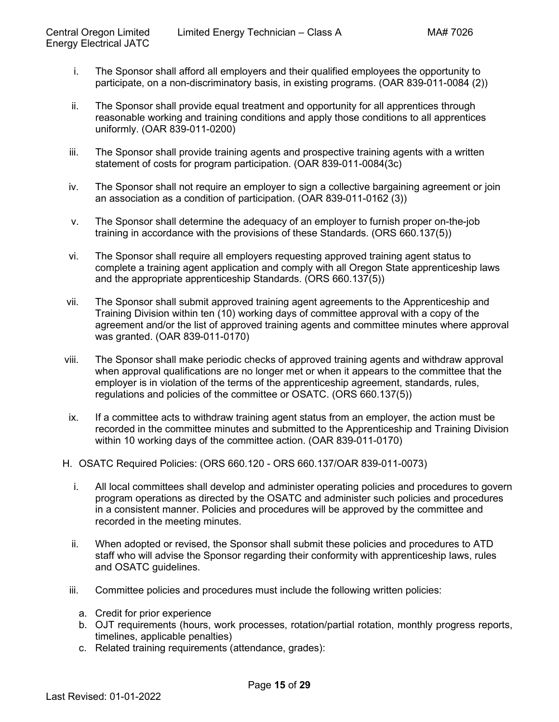- i. The Sponsor shall afford all employers and their qualified employees the opportunity to participate, on a non-discriminatory basis, in existing programs. (OAR 839-011-0084 (2))
- ii. The Sponsor shall provide equal treatment and opportunity for all apprentices through reasonable working and training conditions and apply those conditions to all apprentices uniformly. (OAR 839-011-0200)
- iii. The Sponsor shall provide training agents and prospective training agents with a written statement of costs for program participation. (OAR 839-011-0084(3c)
- iv. The Sponsor shall not require an employer to sign a collective bargaining agreement or join an association as a condition of participation. (OAR 839-011-0162 (3))
- v. The Sponsor shall determine the adequacy of an employer to furnish proper on-the-job training in accordance with the provisions of these Standards. (ORS 660.137(5))
- vi. The Sponsor shall require all employers requesting approved training agent status to complete a training agent application and comply with all Oregon State apprenticeship laws and the appropriate apprenticeship Standards. (ORS 660.137(5))
- vii. The Sponsor shall submit approved training agent agreements to the Apprenticeship and Training Division within ten (10) working days of committee approval with a copy of the agreement and/or the list of approved training agents and committee minutes where approval was granted. (OAR 839-011-0170)
- viii. The Sponsor shall make periodic checks of approved training agents and withdraw approval when approval qualifications are no longer met or when it appears to the committee that the employer is in violation of the terms of the apprenticeship agreement, standards, rules, regulations and policies of the committee or OSATC. (ORS 660.137(5))
- ix. If a committee acts to withdraw training agent status from an employer, the action must be recorded in the committee minutes and submitted to the Apprenticeship and Training Division within 10 working days of the committee action. (OAR 839-011-0170)
- <span id="page-14-0"></span>H. OSATC Required Policies: (ORS 660.120 - ORS 660.137/OAR 839-011-0073)
	- i. All local committees shall develop and administer operating policies and procedures to govern program operations as directed by the OSATC and administer such policies and procedures in a consistent manner. Policies and procedures will be approved by the committee and recorded in the meeting minutes.
	- ii. When adopted or revised, the Sponsor shall submit these policies and procedures to ATD staff who will advise the Sponsor regarding their conformity with apprenticeship laws, rules and OSATC guidelines.
	- iii. Committee policies and procedures must include the following written policies:
		- a. Credit for prior experience
		- b. OJT requirements (hours, work processes, rotation/partial rotation, monthly progress reports, timelines, applicable penalties)
		- c. Related training requirements (attendance, grades):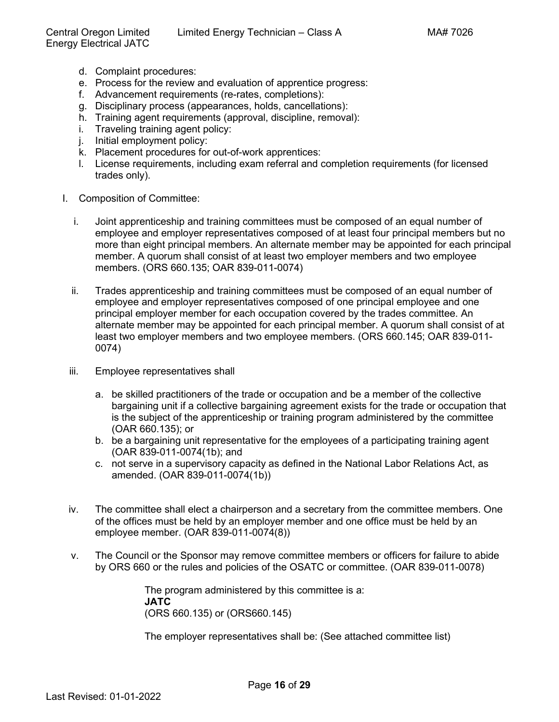- d. Complaint procedures:
- e. Process for the review and evaluation of apprentice progress:
- f. Advancement requirements (re-rates, completions):
- g. Disciplinary process (appearances, holds, cancellations):
- h. Training agent requirements (approval, discipline, removal):
- i. Traveling training agent policy:
- j. Initial employment policy:
- k. Placement procedures for out-of-work apprentices:
- l. License requirements, including exam referral and completion requirements (for licensed trades only).
- I. Composition of Committee:
	- i. Joint apprenticeship and training committees must be composed of an equal number of employee and employer representatives composed of at least four principal members but no more than eight principal members. An alternate member may be appointed for each principal member. A quorum shall consist of at least two employer members and two employee members. (ORS 660.135; OAR 839-011-0074)
	- ii. Trades apprenticeship and training committees must be composed of an equal number of employee and employer representatives composed of one principal employee and one principal employer member for each occupation covered by the trades committee. An alternate member may be appointed for each principal member. A quorum shall consist of at least two employer members and two employee members. (ORS 660.145; OAR 839-011- 0074)
	- iii. Employee representatives shall
		- a. be skilled practitioners of the trade or occupation and be a member of the collective bargaining unit if a collective bargaining agreement exists for the trade or occupation that is the subject of the apprenticeship or training program administered by the committee (OAR 660.135); or
		- b. be a bargaining unit representative for the employees of a participating training agent (OAR 839-011-0074(1b); and
		- c. not serve in a supervisory capacity as defined in the National Labor Relations Act, as amended. (OAR 839-011-0074(1b))
	- iv. The committee shall elect a chairperson and a secretary from the committee members. One of the offices must be held by an employer member and one office must be held by an employee member. (OAR 839-011-0074(8))
	- v. The Council or the Sponsor may remove committee members or officers for failure to abide by ORS 660 or the rules and policies of the OSATC or committee. (OAR 839-011-0078)

The program administered by this committee is a: **JATC** (ORS 660.135) or (ORS660.145)

The employer representatives shall be: (See attached committee list)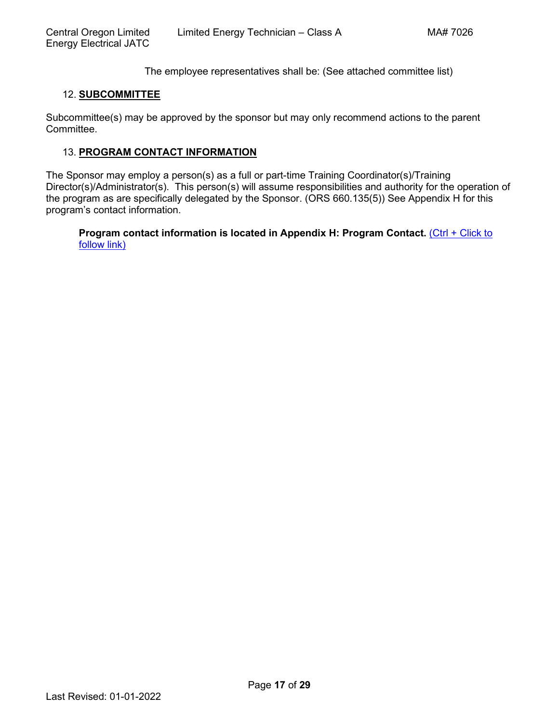The employee representatives shall be: (See attached committee list)

#### <span id="page-16-0"></span>12. **[SUBCOMMITTEE](#page-1-0)**

Subcommittee(s) may be approved by the sponsor but may only recommend actions to the parent Committee.

#### <span id="page-16-1"></span>13. **[PROGRAM CONTACT INFORMATION](#page-1-0)**

The Sponsor may employ a person(s) as a full or part-time Training Coordinator(s)/Training Director(s)/Administrator(s). This person(s) will assume responsibilities and authority for the operation of the program as are specifically delegated by the Sponsor. (ORS 660.135(5)) See Appendix H for this [program's contact information.](#page-28-0)

**[Program contact information is located in Appendix H: Program Contact.](#page-28-0)** (Ctrl + Click to [follow link\)](#page-28-0)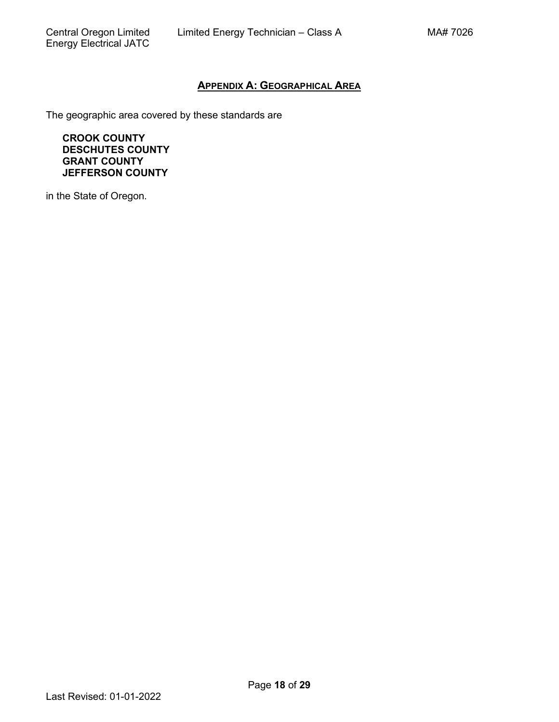# **APPENDIX A: [GEOGRAPHICAL AREA](#page-0-0)**

<span id="page-17-0"></span>The geographic area covered by these standards are

**CROOK COUNTY DESCHUTES COUNTY GRANT COUNTY JEFFERSON COUNTY**

in the State of Oregon.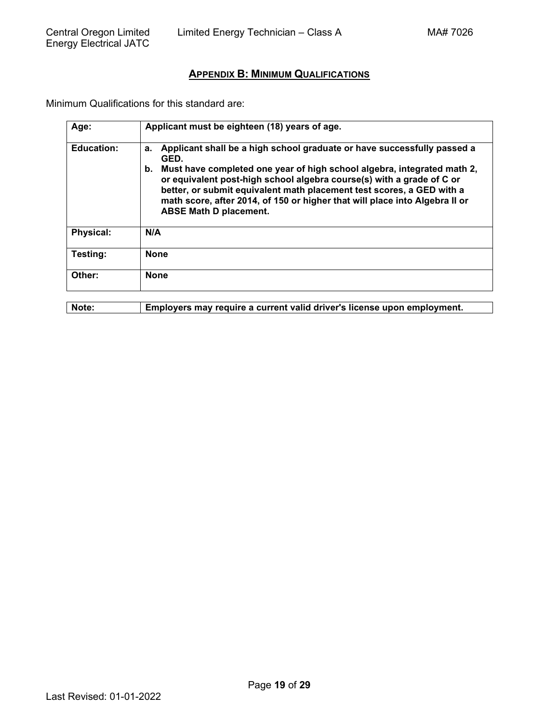# **APPENDIX B: [MINIMUM QUALIFICATIONS](#page-1-0)**

<span id="page-18-0"></span>Minimum Qualifications for this standard are:

| Age:              | Applicant must be eighteen (18) years of age.                                                                                                                                                                                                                                                                                                                                                                                            |
|-------------------|------------------------------------------------------------------------------------------------------------------------------------------------------------------------------------------------------------------------------------------------------------------------------------------------------------------------------------------------------------------------------------------------------------------------------------------|
| <b>Education:</b> | Applicant shall be a high school graduate or have successfully passed a<br>а.<br>GED.<br>Must have completed one year of high school algebra, integrated math 2,<br>b.<br>or equivalent post-high school algebra course(s) with a grade of C or<br>better, or submit equivalent math placement test scores, a GED with a<br>math score, after 2014, of 150 or higher that will place into Algebra II or<br><b>ABSE Math D placement.</b> |
| <b>Physical:</b>  | N/A                                                                                                                                                                                                                                                                                                                                                                                                                                      |
| Testing:          | <b>None</b>                                                                                                                                                                                                                                                                                                                                                                                                                              |
| Other:            | <b>None</b>                                                                                                                                                                                                                                                                                                                                                                                                                              |

**Note: Employers may require a current valid driver's license upon employment.**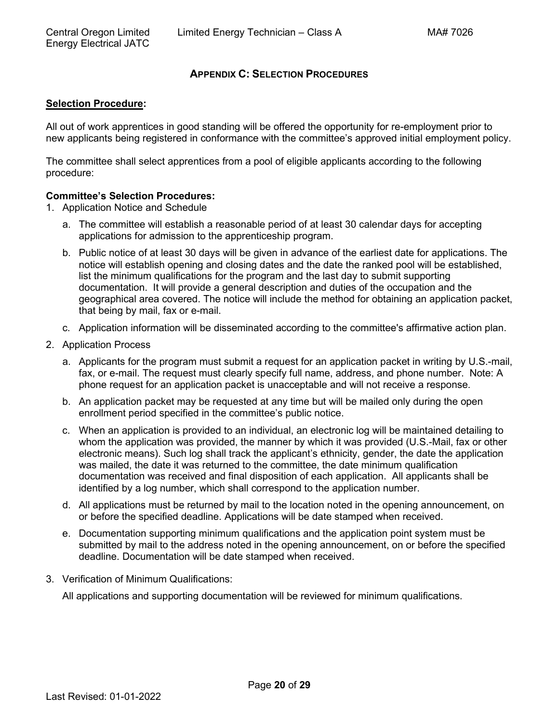# **APPENDIX C: [SELECTION PROCEDURES](#page-1-0)**

#### <span id="page-19-0"></span>**Selection Procedure:**

All out of work apprentices in good standing will be offered the opportunity for re-employment prior to new applicants being registered in conformance with the committee's approved initial employment policy.

The committee shall select apprentices from a pool of eligible applicants according to the following procedure:

#### **Committee's Selection Procedures:**

- 1. Application Notice and Schedule
	- a. The committee will establish a reasonable period of at least 30 calendar days for accepting applications for admission to the apprenticeship program.
	- b. Public notice of at least 30 days will be given in advance of the earliest date for applications. The notice will establish opening and closing dates and the date the ranked pool will be established, list the minimum qualifications for the program and the last day to submit supporting documentation. It will provide a general description and duties of the occupation and the geographical area covered. The notice will include the method for obtaining an application packet, that being by mail, fax or e-mail.
	- c. Application information will be disseminated according to the committee's affirmative action plan.
- 2. Application Process
	- a. Applicants for the program must submit a request for an application packet in writing by U.S.-mail, fax, or e-mail. The request must clearly specify full name, address, and phone number. Note: A phone request for an application packet is unacceptable and will not receive a response.
	- b. An application packet may be requested at any time but will be mailed only during the open enrollment period specified in the committee's public notice.
	- c. When an application is provided to an individual, an electronic log will be maintained detailing to whom the application was provided, the manner by which it was provided (U.S.-Mail, fax or other electronic means). Such log shall track the applicant's ethnicity, gender, the date the application was mailed, the date it was returned to the committee, the date minimum qualification documentation was received and final disposition of each application. All applicants shall be identified by a log number, which shall correspond to the application number.
	- d. All applications must be returned by mail to the location noted in the opening announcement, on or before the specified deadline. Applications will be date stamped when received.
	- e. Documentation supporting minimum qualifications and the application point system must be submitted by mail to the address noted in the opening announcement, on or before the specified deadline. Documentation will be date stamped when received.
- 3. Verification of Minimum Qualifications:

All applications and supporting documentation will be reviewed for minimum qualifications.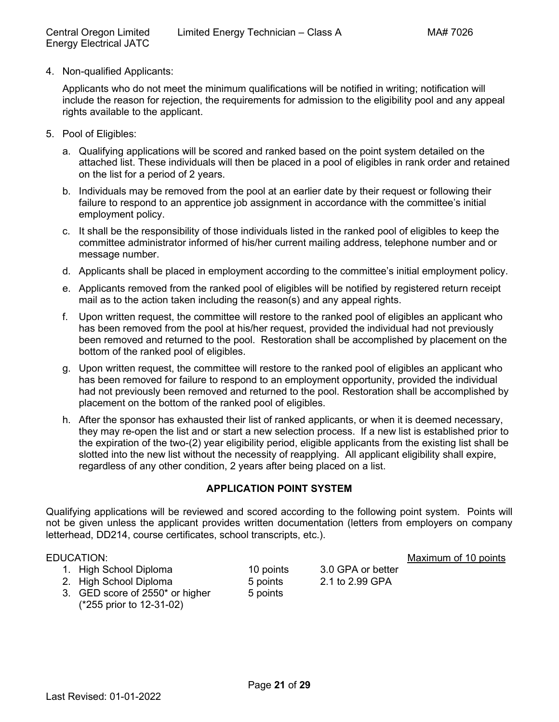4. Non-qualified Applicants:

Applicants who do not meet the minimum qualifications will be notified in writing; notification will include the reason for rejection, the requirements for admission to the eligibility pool and any appeal rights available to the applicant.

- 5. Pool of Eligibles:
	- a. Qualifying applications will be scored and ranked based on the point system detailed on the attached list. These individuals will then be placed in a pool of eligibles in rank order and retained on the list for a period of 2 years.
	- b. Individuals may be removed from the pool at an earlier date by their request or following their failure to respond to an apprentice job assignment in accordance with the committee's initial employment policy.
	- c. It shall be the responsibility of those individuals listed in the ranked pool of eligibles to keep the committee administrator informed of his/her current mailing address, telephone number and or message number.
	- d. Applicants shall be placed in employment according to the committee's initial employment policy.
	- e. Applicants removed from the ranked pool of eligibles will be notified by registered return receipt mail as to the action taken including the reason(s) and any appeal rights.
	- f. Upon written request, the committee will restore to the ranked pool of eligibles an applicant who has been removed from the pool at his/her request, provided the individual had not previously been removed and returned to the pool. Restoration shall be accomplished by placement on the bottom of the ranked pool of eligibles.
	- g. Upon written request, the committee will restore to the ranked pool of eligibles an applicant who has been removed for failure to respond to an employment opportunity, provided the individual had not previously been removed and returned to the pool. Restoration shall be accomplished by placement on the bottom of the ranked pool of eligibles.
	- h. After the sponsor has exhausted their list of ranked applicants, or when it is deemed necessary, they may re-open the list and or start a new selection process. If a new list is established prior to the expiration of the two-(2) year eligibility period, eligible applicants from the existing list shall be slotted into the new list without the necessity of reapplying. All applicant eligibility shall expire, regardless of any other condition, 2 years after being placed on a list.

# **APPLICATION POINT SYSTEM**

Qualifying applications will be reviewed and scored according to the following point system. Points will not be given unless the applicant provides written documentation (letters from employers on company letterhead, DD214, course certificates, school transcripts, etc.).

- 1. High School Diploma 10 points 3.0 GPA or better
- 2. High School Diploma 5 points 2.1 to 2.99 GPA
- 3. GED score of 2550\* or higher (\*255 prior to 12-31-02)

EDUCATION: **Maximum of 10 points** 

- 5 points
-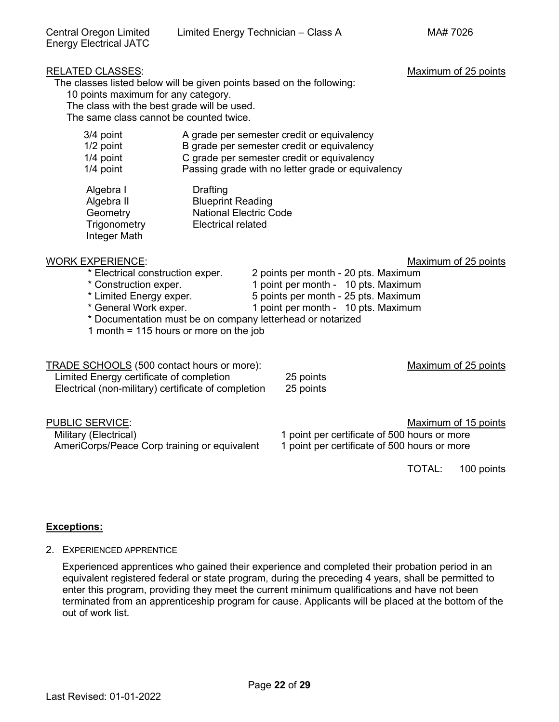The classes listed below will be given points based on the following:

10 points maximum for any category.

The class with the best grade will be used.

The same class cannot be counted twice.

| 3/4 point   | A grade per semester credit or equivalency        |
|-------------|---------------------------------------------------|
| $1/2$ point | B grade per semester credit or equivalency        |
| $1/4$ point | C grade per semester credit or equivalency        |
| $1/4$ point | Passing grade with no letter grade or equivalency |

| Algebra I    | Drafting                      |
|--------------|-------------------------------|
| Algebra II   | <b>Blueprint Reading</b>      |
| Geometry     | <b>National Electric Code</b> |
| Trigonometry | <b>Electrical related</b>     |
| Integer Math |                               |

# WORK EXPERIENCE:<br>
\* Electrical construction exper. 2 points per month - 20 pts. Maximum \* Electrical construction exper. 2 points per month - 20 pts. Maximum

- 2 points per month 20 pts. Maximum
- 
- \* Construction exper. 1 point per month 10 pts. Maximum<br>\* Limited Energy exper. 1 boints per month 25 pts. Maximum
- \* Limited Energy exper. <br>
\* General Work exper. 
1 point per month 10 pts. Maximum<br>
1 point per month 10 pts. Maximum 1 point per month - 10 pts. Maximum
- \* Documentation must be on company letterhead or notarized
- 1 month = 115 hours or more on the job

TRADE SCHOOLS (500 contact hours or more): Maximum of 25 points Limited Energy certificate of completion 25 points Electrical (non-military) certificate of completion 25 points

PUBLIC SERVICE: **Maximum of 15 points** Military (Electrical)<br>AmeriCorps/Peace Corp training or equivalent 1 point per certificate of 500 hours or more AmeriCorps/Peace Corp training or equivalent

TOTAL: 100 points

# **Exceptions:**

2. EXPERIENCED APPRENTICE

Experienced apprentices who gained their experience and completed their probation period in an equivalent registered federal or state program, during the preceding 4 years, shall be permitted to enter this program, providing they meet the current minimum qualifications and have not been terminated from an apprenticeship program for cause. Applicants will be placed at the bottom of the out of work list.

# RELATED CLASSES: Maximum of 25 points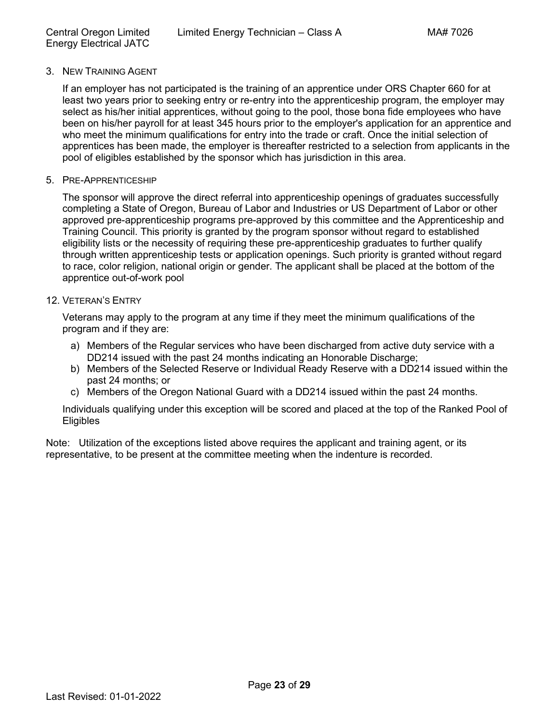### 3. NEW TRAINING AGENT

If an employer has not participated is the training of an apprentice under ORS Chapter 660 for at least two years prior to seeking entry or re-entry into the apprenticeship program, the employer may select as his/her initial apprentices, without going to the pool, those bona fide employees who have been on his/her payroll for at least 345 hours prior to the employer's application for an apprentice and who meet the minimum qualifications for entry into the trade or craft. Once the initial selection of apprentices has been made, the employer is thereafter restricted to a selection from applicants in the pool of eligibles established by the sponsor which has jurisdiction in this area.

#### 5. PRE-APPRENTICESHIP

The sponsor will approve the direct referral into apprenticeship openings of graduates successfully completing a State of Oregon, Bureau of Labor and Industries or US Department of Labor or other approved pre-apprenticeship programs pre-approved by this committee and the Apprenticeship and Training Council. This priority is granted by the program sponsor without regard to established eligibility lists or the necessity of requiring these pre-apprenticeship graduates to further qualify through written apprenticeship tests or application openings. Such priority is granted without regard to race, color religion, national origin or gender. The applicant shall be placed at the bottom of the apprentice out-of-work pool

#### 12. VETERAN'S ENTRY

Veterans may apply to the program at any time if they meet the minimum qualifications of the program and if they are:

- a) Members of the Regular services who have been discharged from active duty service with a DD214 issued with the past 24 months indicating an Honorable Discharge;
- b) Members of the Selected Reserve or Individual Ready Reserve with a DD214 issued within the past 24 months; or
- c) Members of the Oregon National Guard with a DD214 issued within the past 24 months.

Individuals qualifying under this exception will be scored and placed at the top of the Ranked Pool of **Eligibles** 

Note: Utilization of the exceptions listed above requires the applicant and training agent, or its representative, to be present at the committee meeting when the indenture is recorded.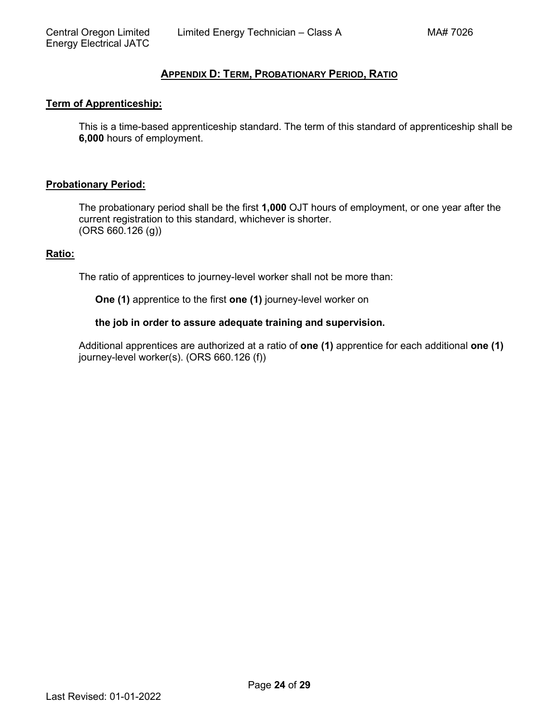# **APPENDIX D: TERM, [PROBATIONARY PERIOD,](#page-1-0) RATIO**

#### <span id="page-23-0"></span>**Term of Apprenticeship:**

This is a time-based apprenticeship standard. The term of this standard of apprenticeship shall be **6,000** hours of employment.

#### **Probationary Period:**

The probationary period shall be the first **1,000** OJT hours of employment, or one year after the current registration to this standard, whichever is shorter. (ORS 660.126 (g))

#### **Ratio:**

The ratio of apprentices to journey-level worker shall not be more than:

**One (1)** apprentice to the first **one (1)** journey-level worker on

#### **the job in order to assure adequate training and supervision.**

Additional apprentices are authorized at a ratio of **one (1)** apprentice for each additional **one (1)** journey-level worker(s). (ORS 660.126 (f))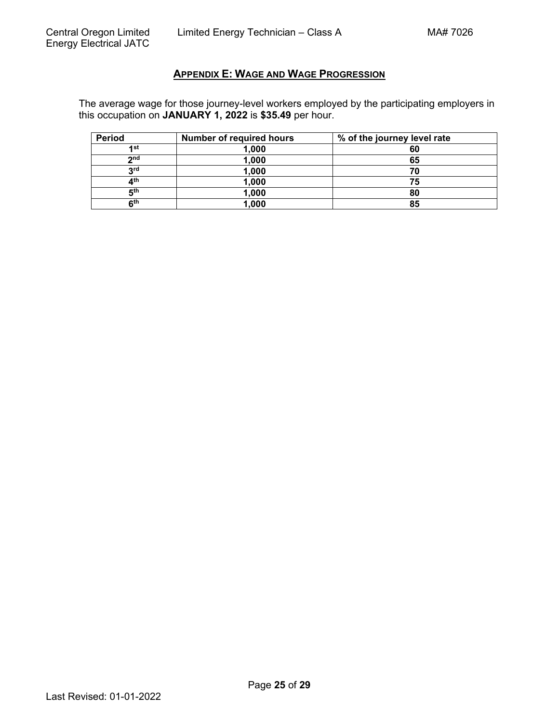# **APPENDIX E: [WAGE AND WAGE PROGRESSION](#page-1-0)**

<span id="page-24-0"></span>The average wage for those journey-level workers employed by the participating employers in this occupation on **JANUARY 1, 2022** is **\$35.49** per hour.

| Period          | <b>Number of required hours</b> | % of the journey level rate |
|-----------------|---------------------------------|-----------------------------|
| ⊿st             | 1,000                           | 60                          |
| 2 <sub>nd</sub> | 1,000                           | 65                          |
| <b>2rd</b>      | 1,000                           |                             |
| ⊿th             | 1,000                           | 75                          |
| 5 <sup>th</sup> | 1,000                           | 80                          |
| 6 <sup>th</sup> | 1,000                           | 85                          |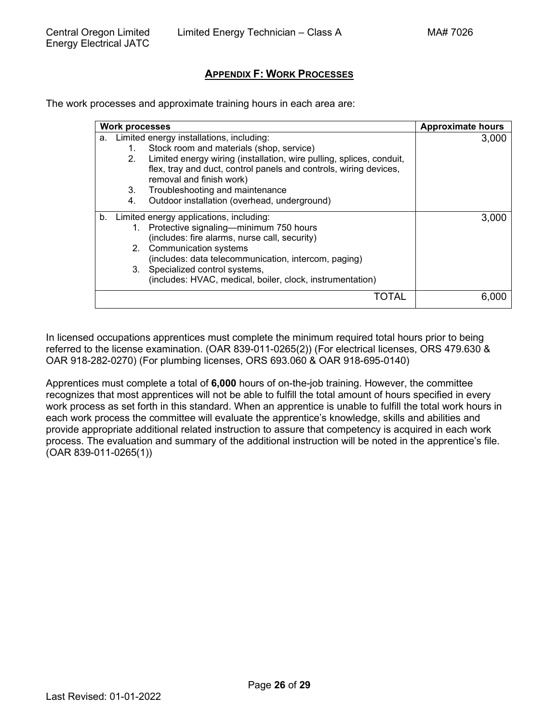# **APPENDIX F: [WORK PROCESSES](#page-1-0)**

<span id="page-25-0"></span>The work processes and approximate training hours in each area are:

|    | <b>Work processes</b> |                                                                      | <b>Approximate hours</b> |
|----|-----------------------|----------------------------------------------------------------------|--------------------------|
| а. |                       | Limited energy installations, including:                             | 3,000                    |
|    | 1.                    | Stock room and materials (shop, service)                             |                          |
|    | 2.                    | Limited energy wiring (installation, wire pulling, splices, conduit, |                          |
|    |                       | flex, tray and duct, control panels and controls, wiring devices,    |                          |
|    |                       | removal and finish work)                                             |                          |
|    | 3.                    | Troubleshooting and maintenance                                      |                          |
|    | 4.                    | Outdoor installation (overhead, underground)                         |                          |
| b. |                       | Limited energy applications, including:                              | 3.000                    |
|    |                       | 1. Protective signaling—minimum 750 hours                            |                          |
|    |                       | (includes: fire alarms, nurse call, security)                        |                          |
|    |                       | 2. Communication systems                                             |                          |
|    |                       | (includes: data telecommunication, intercom, paging)                 |                          |
|    |                       | 3. Specialized control systems,                                      |                          |
|    |                       | (includes: HVAC, medical, boiler, clock, instrumentation)            |                          |
|    |                       |                                                                      |                          |

In licensed occupations apprentices must complete the minimum required total hours prior to being referred to the license examination. (OAR 839-011-0265(2)) (For electrical licenses, ORS 479.630 & OAR 918-282-0270) (For plumbing licenses, ORS 693.060 & OAR 918-695-0140)

Apprentices must complete a total of **6,000** hours of on-the-job training. However, the committee recognizes that most apprentices will not be able to fulfill the total amount of hours specified in every work process as set forth in this standard. When an apprentice is unable to fulfill the total work hours in each work process the committee will evaluate the apprentice's knowledge, skills and abilities and provide appropriate additional related instruction to assure that competency is acquired in each work process. The evaluation and summary of the additional instruction will be noted in the apprentice's file. (OAR 839-011-0265(1))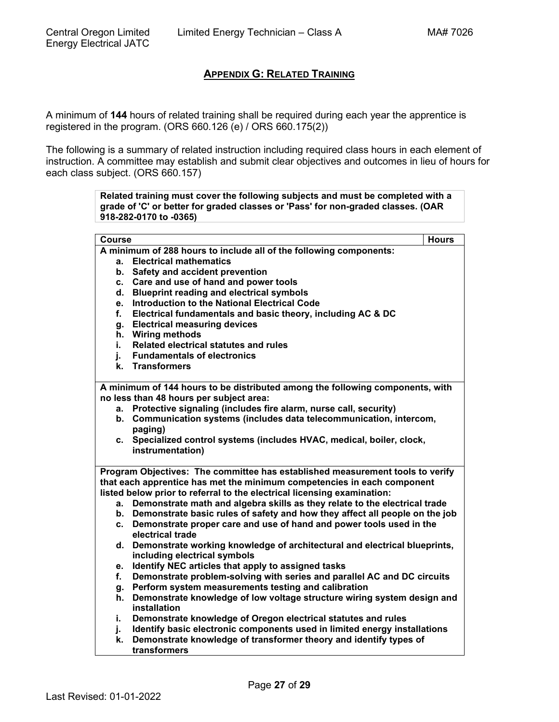# **APPENDIX G: [RELATED TRAINING](#page-1-0)**

<span id="page-26-0"></span>A minimum of **144** hours of related training shall be required during each year the apprentice is registered in the program. (ORS 660.126 (e) / ORS 660.175(2))

The following is a summary of related instruction including required class hours in each element of instruction. A committee may establish and submit clear objectives and outcomes in lieu of hours for each class subject. (ORS 660.157)

> **Related training must cover the following subjects and must be completed with a grade of 'C' or better for graded classes or 'Pass' for non-graded classes. (OAR 918-282-0170 to -0365)**

| Course |                                                                                | <b>Hours</b> |
|--------|--------------------------------------------------------------------------------|--------------|
|        | A minimum of 288 hours to include all of the following components:             |              |
| а.     | <b>Electrical mathematics</b>                                                  |              |
| b.     | Safety and accident prevention                                                 |              |
| C.     | Care and use of hand and power tools                                           |              |
| d.     | <b>Blueprint reading and electrical symbols</b>                                |              |
| e.     | <b>Introduction to the National Electrical Code</b>                            |              |
| f.     | Electrical fundamentals and basic theory, including AC & DC                    |              |
| g.     | <b>Electrical measuring devices</b>                                            |              |
| h.     | <b>Wiring methods</b>                                                          |              |
| i.,    | Related electrical statutes and rules                                          |              |
| j.     | <b>Fundamentals of electronics</b>                                             |              |
|        | k. Transformers                                                                |              |
|        | A minimum of 144 hours to be distributed among the following components, with  |              |
|        | no less than 48 hours per subject area:                                        |              |
|        | a. Protective signaling (includes fire alarm, nurse call, security)            |              |
|        | b. Communication systems (includes data telecommunication, intercom,           |              |
|        | paging)                                                                        |              |
|        | c. Specialized control systems (includes HVAC, medical, boiler, clock,         |              |
|        | instrumentation)                                                               |              |
|        | Program Objectives: The committee has established measurement tools to verify  |              |
|        | that each apprentice has met the minimum competencies in each component        |              |
|        | listed below prior to referral to the electrical licensing examination:        |              |
|        | a. Demonstrate math and algebra skills as they relate to the electrical trade  |              |
|        | b. Demonstrate basic rules of safety and how they affect all people on the job |              |
| C.     | Demonstrate proper care and use of hand and power tools used in the            |              |
|        | electrical trade                                                               |              |
| d.     | Demonstrate working knowledge of architectural and electrical blueprints,      |              |
|        | including electrical symbols                                                   |              |
| е.     | Identify NEC articles that apply to assigned tasks                             |              |
| f.     | Demonstrate problem-solving with series and parallel AC and DC circuits        |              |
| g.     | Perform system measurements testing and calibration                            |              |
| h.     | Demonstrate knowledge of low voltage structure wiring system design and        |              |
|        | installation                                                                   |              |
| i.     | Demonstrate knowledge of Oregon electrical statutes and rules                  |              |
| j.     | Identify basic electronic components used in limited energy installations      |              |
| k.     | Demonstrate knowledge of transformer theory and identify types of              |              |
|        | transformers                                                                   |              |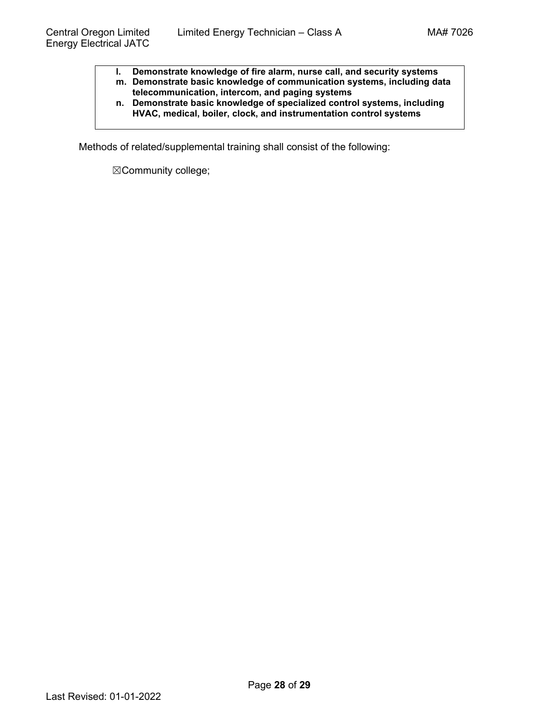- **l. Demonstrate knowledge of fire alarm, nurse call, and security systems**
- **m. Demonstrate basic knowledge of communication systems, including data telecommunication, intercom, and paging systems**
- **n. Demonstrate basic knowledge of specialized control systems, including HVAC, medical, boiler, clock, and instrumentation control systems**

Methods of related/supplemental training shall consist of the following:

☒Community college;